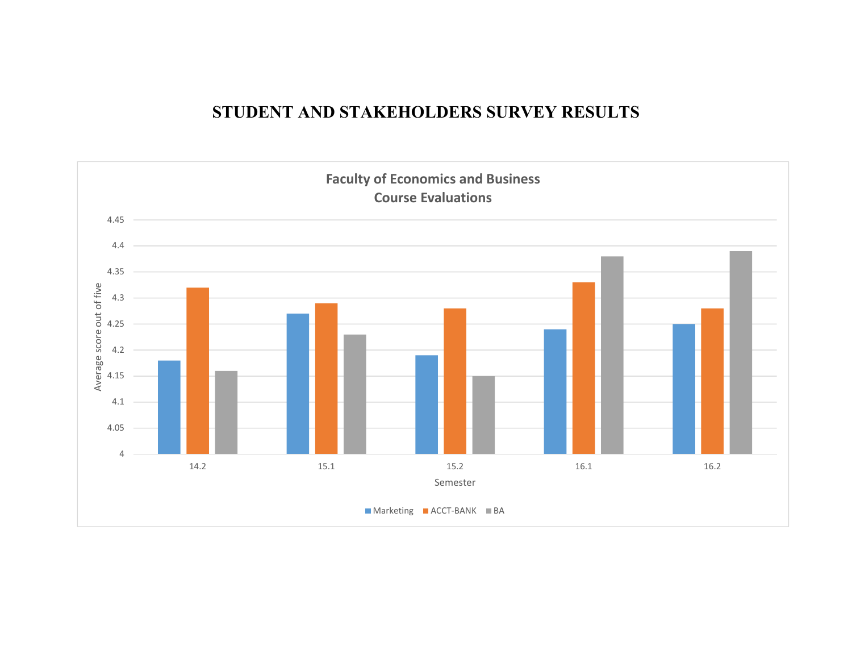## **STUDENT AND STAKEHOLDERS SURVEY RESULTS**

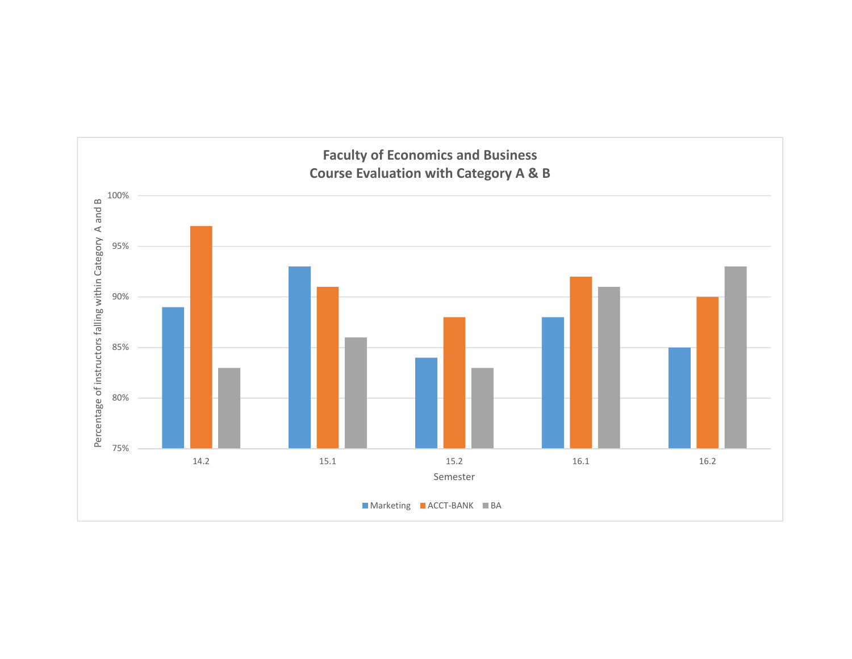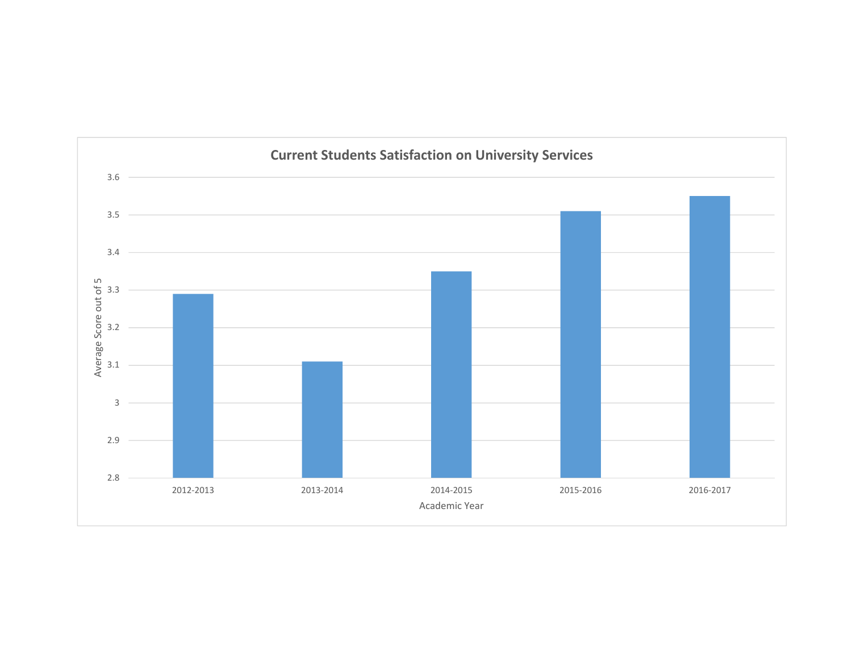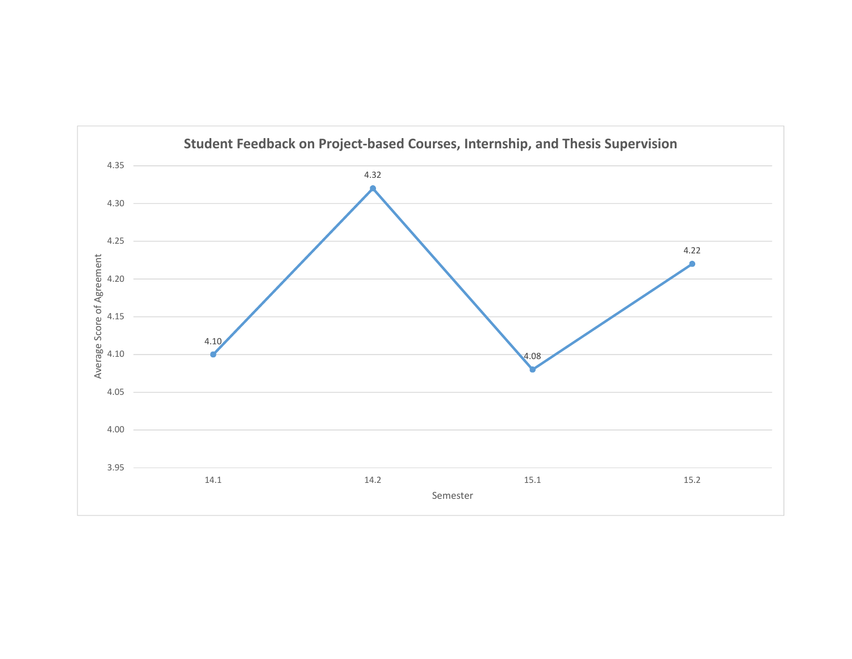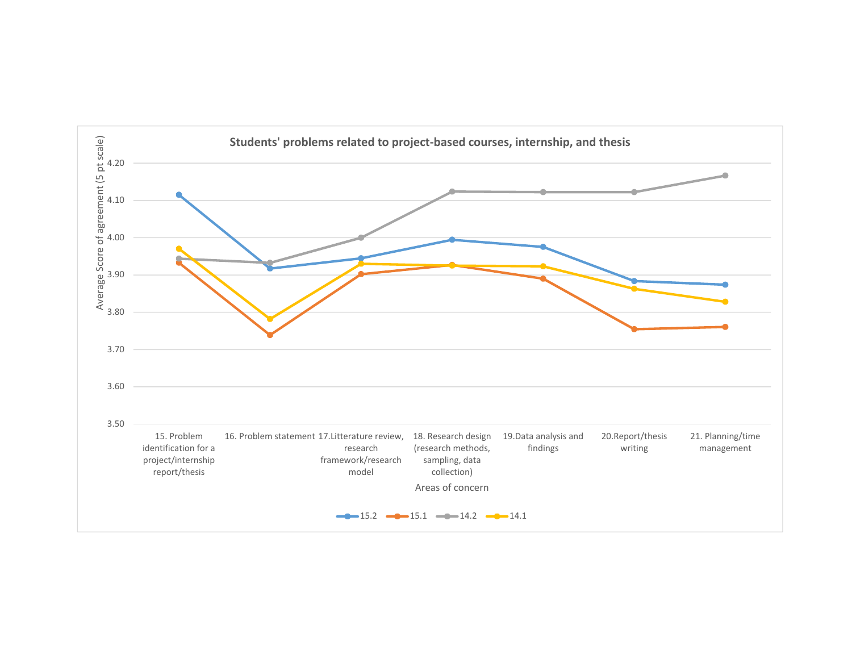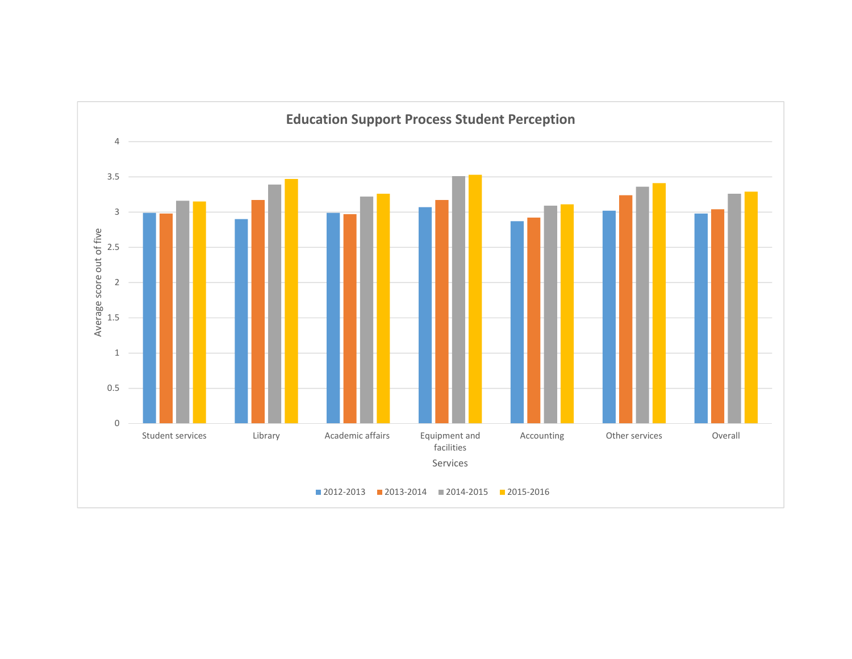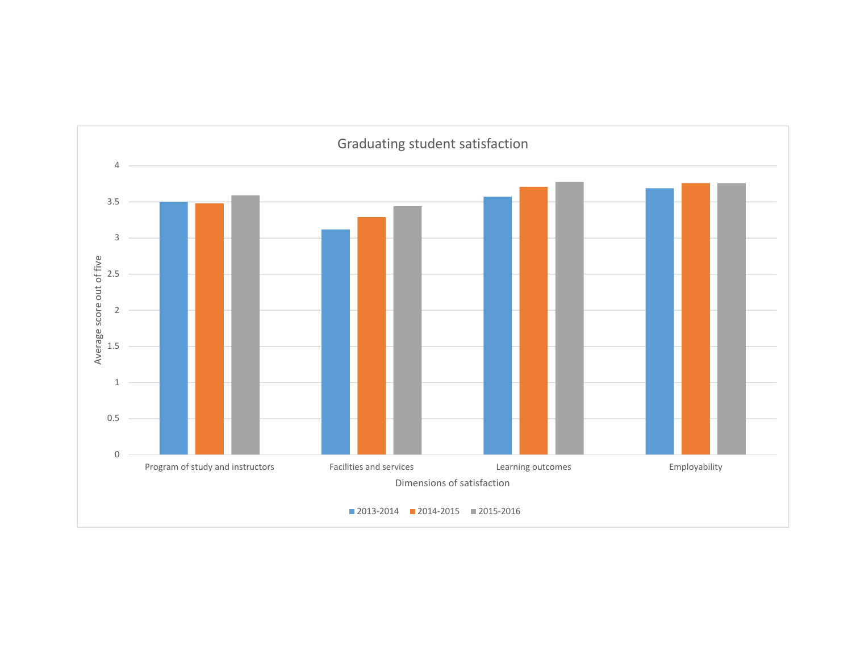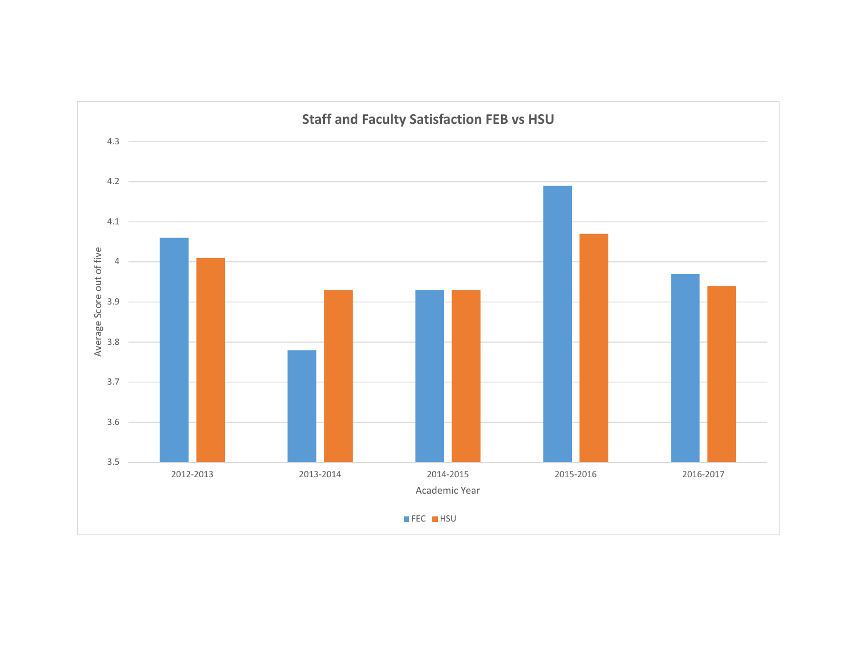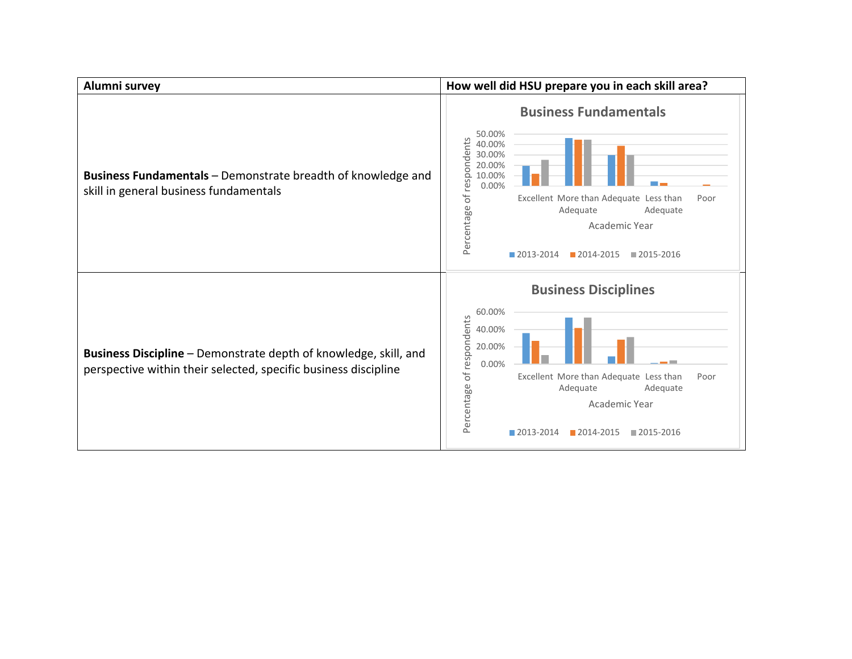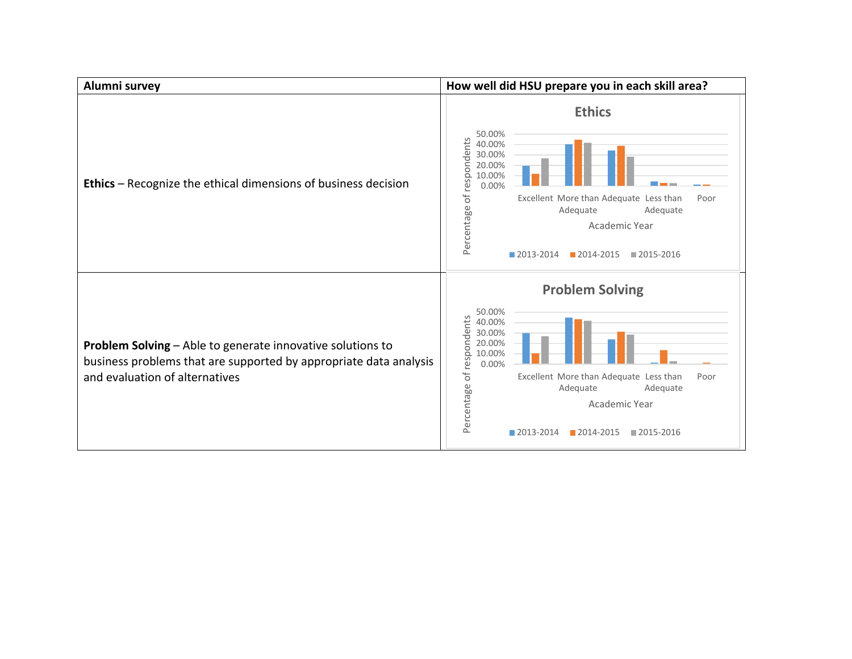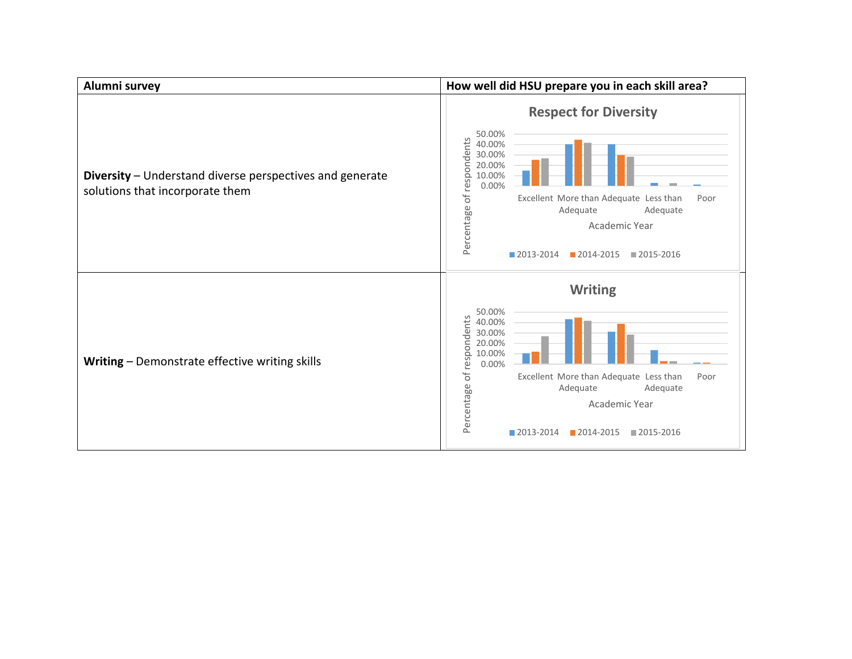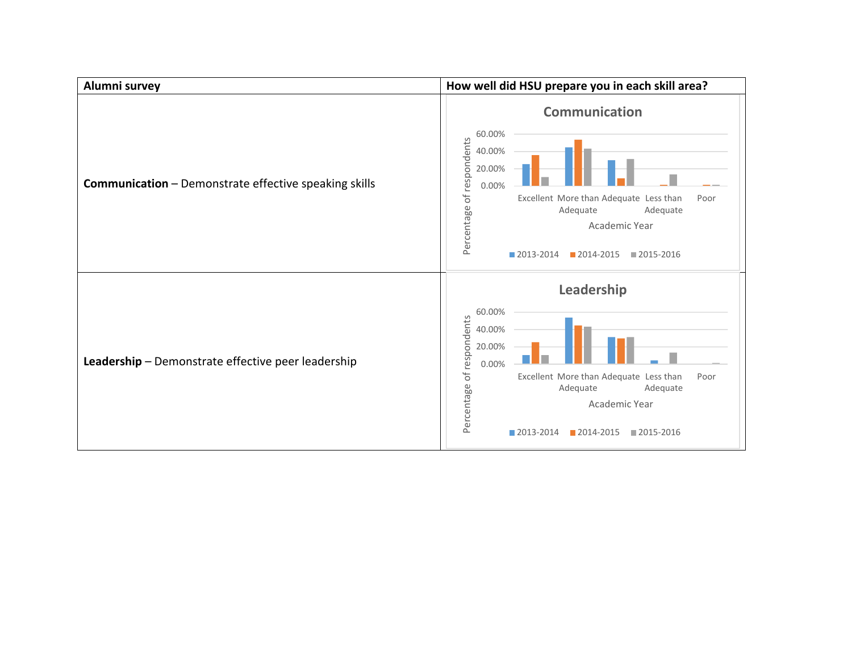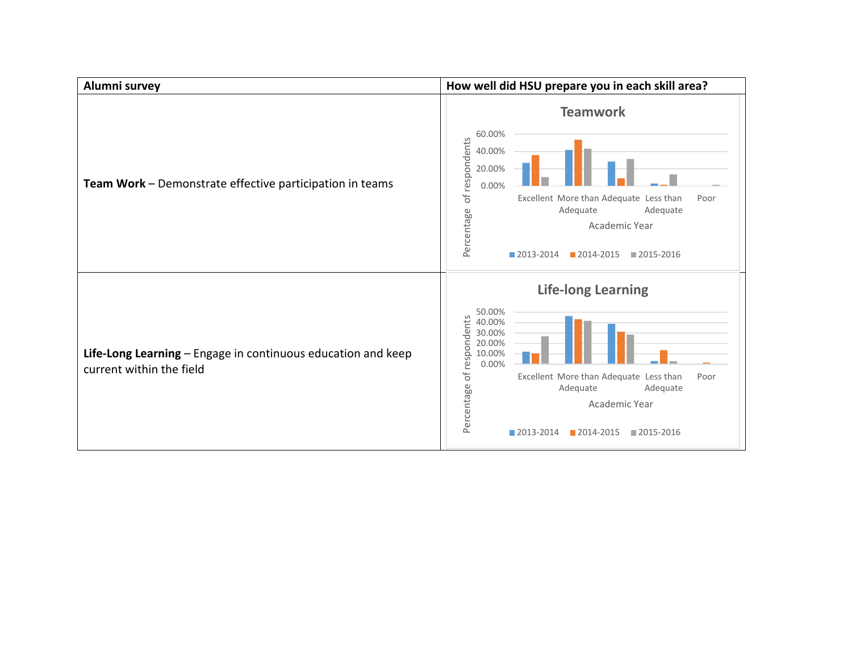